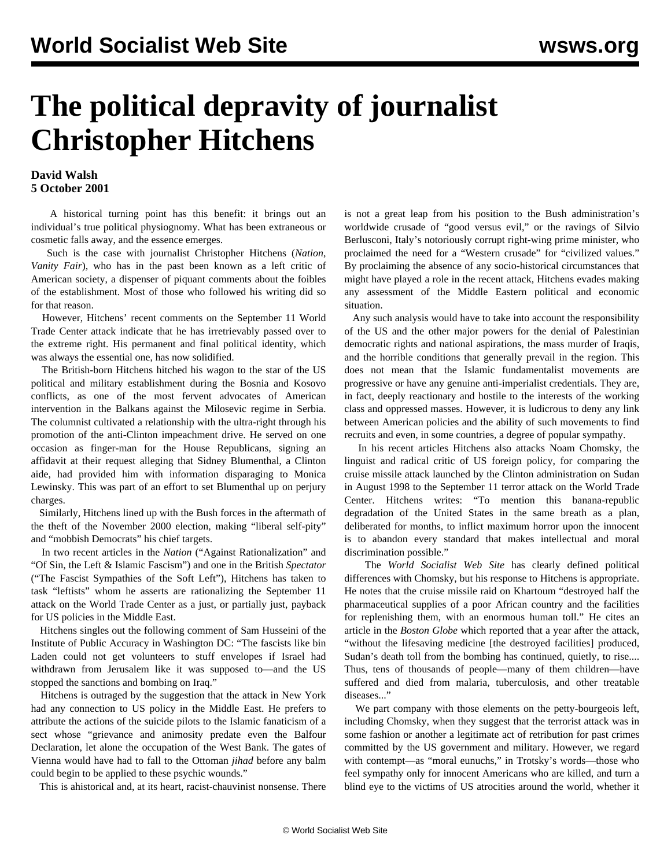## **The political depravity of journalist Christopher Hitchens**

## **David Walsh 5 October 2001**

 A historical turning point has this benefit: it brings out an individual's true political physiognomy. What has been extraneous or cosmetic falls away, and the essence emerges.

 Such is the case with journalist Christopher Hitchens (*Nation*, *Vanity Fair*), who has in the past been known as a left critic of American society, a dispenser of piquant comments about the foibles of the establishment. Most of those who followed his writing did so for that reason.

 However, Hitchens' recent comments on the September 11 World Trade Center attack indicate that he has irretrievably passed over to the extreme right. His permanent and final political identity, which was always the essential one, has now solidified.

 The British-born Hitchens hitched his wagon to the star of the US political and military establishment during the Bosnia and Kosovo conflicts, as one of the most fervent advocates of American intervention in the Balkans against the Milosevic regime in Serbia. The columnist cultivated a relationship with the ultra-right through his promotion of the anti-Clinton impeachment drive. He served on one occasion as finger-man for the House Republicans, signing an affidavit at their request alleging that Sidney Blumenthal, a Clinton aide, had provided him with information disparaging to Monica Lewinsky. This was part of an effort to set Blumenthal up on perjury charges.

 Similarly, Hitchens lined up with the Bush forces in the aftermath of the theft of the November 2000 election, making "liberal self-pity" and "mobbish Democrats" his chief targets.

 In two recent articles in the *Nation* ("Against Rationalization" and "Of Sin, the Left & Islamic Fascism") and one in the British *Spectator* ("The Fascist Sympathies of the Soft Left"), Hitchens has taken to task "leftists" whom he asserts are rationalizing the September 11 attack on the World Trade Center as a just, or partially just, payback for US policies in the Middle East.

 Hitchens singles out the following comment of Sam Husseini of the Institute of Public Accuracy in Washington DC: "The fascists like bin Laden could not get volunteers to stuff envelopes if Israel had withdrawn from Jerusalem like it was supposed to—and the US stopped the sanctions and bombing on Iraq."

 Hitchens is outraged by the suggestion that the attack in New York had any connection to US policy in the Middle East. He prefers to attribute the actions of the suicide pilots to the Islamic fanaticism of a sect whose "grievance and animosity predate even the Balfour Declaration, let alone the occupation of the West Bank. The gates of Vienna would have had to fall to the Ottoman *jihad* before any balm could begin to be applied to these psychic wounds."

This is ahistorical and, at its heart, racist-chauvinist nonsense. There

is not a great leap from his position to the Bush administration's worldwide crusade of "good versus evil," or the ravings of Silvio Berlusconi, Italy's notoriously corrupt right-wing prime minister, who proclaimed the need for a "Western crusade" for "civilized values." By proclaiming the absence of any socio-historical circumstances that might have played a role in the recent attack, Hitchens evades making any assessment of the Middle Eastern political and economic situation.

 Any such analysis would have to take into account the responsibility of the US and the other major powers for the denial of Palestinian democratic rights and national aspirations, the mass murder of Iraqis, and the horrible conditions that generally prevail in the region. This does not mean that the Islamic fundamentalist movements are progressive or have any genuine anti-imperialist credentials. They are, in fact, deeply reactionary and hostile to the interests of the working class and oppressed masses. However, it is ludicrous to deny any link between American policies and the ability of such movements to find recruits and even, in some countries, a degree of popular sympathy.

 In his recent articles Hitchens also attacks Noam Chomsky, the linguist and radical critic of US foreign policy, for comparing the cruise missile attack launched by the Clinton administration on Sudan in August 1998 to the September 11 terror attack on the World Trade Center. Hitchens writes: "To mention this banana-republic degradation of the United States in the same breath as a plan, deliberated for months, to inflict maximum horror upon the innocent is to abandon every standard that makes intellectual and moral discrimination possible."

 The *World Socialist Web Site* has clearly defined political differences with Chomsky, but his response to Hitchens is appropriate. He notes that the cruise missile raid on Khartoum "destroyed half the pharmaceutical supplies of a poor African country and the facilities for replenishing them, with an enormous human toll." He cites an article in the *Boston Globe* which reported that a year after the attack, "without the lifesaving medicine [the destroyed facilities] produced, Sudan's death toll from the bombing has continued, quietly, to rise.... Thus, tens of thousands of people—many of them children—have suffered and died from malaria, tuberculosis, and other treatable diseases..."

 We part company with those elements on the petty-bourgeois left, including Chomsky, when they suggest that the terrorist attack was in some fashion or another a legitimate act of retribution for past crimes committed by the US government and military. However, we regard with contempt—as "moral eunuchs," in Trotsky's words—those who feel sympathy only for innocent Americans who are killed, and turn a blind eye to the victims of US atrocities around the world, whether it